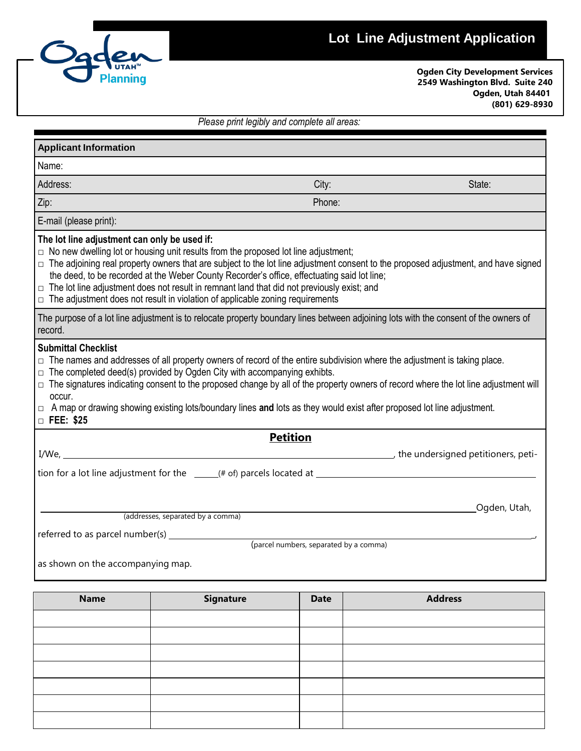# **Lot Line Adjustment Application**



**Ogden City Development Services 2549 Washington Blvd. Suite 240 Ogden, Utah 84401 (801) 629-8930**

| Please print legibly and complete all areas: |
|----------------------------------------------|
|----------------------------------------------|

| <b>Applicant Information</b>                                                                                                                                                                                                                                                                                                                                                                                                                                                                                                                                                  |                 |              |  |  |
|-------------------------------------------------------------------------------------------------------------------------------------------------------------------------------------------------------------------------------------------------------------------------------------------------------------------------------------------------------------------------------------------------------------------------------------------------------------------------------------------------------------------------------------------------------------------------------|-----------------|--------------|--|--|
| Name:                                                                                                                                                                                                                                                                                                                                                                                                                                                                                                                                                                         |                 |              |  |  |
| Address:                                                                                                                                                                                                                                                                                                                                                                                                                                                                                                                                                                      | City:           | State:       |  |  |
| Zip:                                                                                                                                                                                                                                                                                                                                                                                                                                                                                                                                                                          | Phone:          |              |  |  |
| E-mail (please print):                                                                                                                                                                                                                                                                                                                                                                                                                                                                                                                                                        |                 |              |  |  |
| The lot line adjustment can only be used if:<br>$\Box$ No new dwelling lot or housing unit results from the proposed lot line adjustment;<br>□ The adjoining real property owners that are subject to the lot line adjustment consent to the proposed adjustment, and have signed<br>the deed, to be recorded at the Weber County Recorder's office, effectuating said lot line;<br>$\Box$ The lot line adjustment does not result in remnant land that did not previously exist; and<br>$\Box$ The adjustment does not result in violation of applicable zoning requirements |                 |              |  |  |
| The purpose of a lot line adjustment is to relocate property boundary lines between adjoining lots with the consent of the owners of<br>record.                                                                                                                                                                                                                                                                                                                                                                                                                               |                 |              |  |  |
| <b>Submittal Checklist</b><br>$\Box$ The names and addresses of all property owners of record of the entire subdivision where the adjustment is taking place.<br>$\Box$ The completed deed(s) provided by Ogden City with accompanying exhibts.<br>$\Box$ The signatures indicating consent to the proposed change by all of the property owners of record where the lot line adjustment will<br>occur.<br>$\Box$ A map or drawing showing existing lots/boundary lines and lots as they would exist after proposed lot line adjustment.<br>$\Box$ FEE: \$25                  |                 |              |  |  |
|                                                                                                                                                                                                                                                                                                                                                                                                                                                                                                                                                                               | <b>Petition</b> |              |  |  |
|                                                                                                                                                                                                                                                                                                                                                                                                                                                                                                                                                                               |                 |              |  |  |
|                                                                                                                                                                                                                                                                                                                                                                                                                                                                                                                                                                               |                 |              |  |  |
| (addresses, separated by a comma)                                                                                                                                                                                                                                                                                                                                                                                                                                                                                                                                             |                 | Ogden, Utah, |  |  |
| (parcel numbers, separated by a comma)                                                                                                                                                                                                                                                                                                                                                                                                                                                                                                                                        |                 |              |  |  |
| as shown on the accompanying map.                                                                                                                                                                                                                                                                                                                                                                                                                                                                                                                                             |                 |              |  |  |

**Name Signature Date Date Address**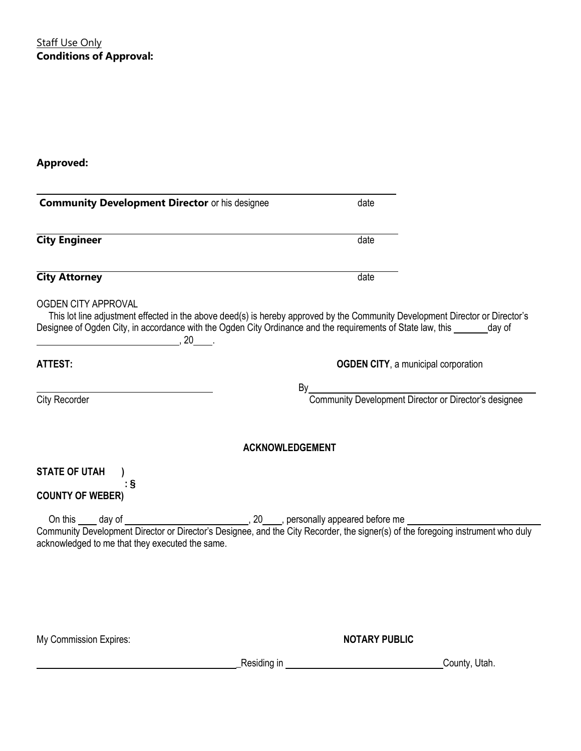**Staff Use Only Conditions of Approval:**

**Approved:**

| <b>Community Development Director or his designee</b> | date                                                                                                                                                                                                                                                       |  |  |
|-------------------------------------------------------|------------------------------------------------------------------------------------------------------------------------------------------------------------------------------------------------------------------------------------------------------------|--|--|
| <b>City Engineer</b>                                  | date                                                                                                                                                                                                                                                       |  |  |
| <b>City Attorney</b>                                  | date                                                                                                                                                                                                                                                       |  |  |
| <b>OGDEN CITY APPROVAL</b><br>$\sim$ 20               | This lot line adjustment effected in the above deed(s) is hereby approved by the Community Development Director or Director's<br>Designee of Ogden City, in accordance with the Ogden City Ordinance and the requirements of State law, this ______ day of |  |  |
| <b>ATTEST:</b>                                        | <b>OGDEN CITY, a municipal corporation</b>                                                                                                                                                                                                                 |  |  |
| City Recorder                                         | By______________<br>Community Development Director or Director's designee                                                                                                                                                                                  |  |  |
|                                                       | <b>ACKNOWLEDGEMENT</b>                                                                                                                                                                                                                                     |  |  |
| <b>STATE OF UTAH</b><br>۰§<br><b>COUNTY OF WEBER)</b> |                                                                                                                                                                                                                                                            |  |  |
| acknowledged to me that they executed the same.       |                                                                                                                                                                                                                                                            |  |  |
|                                                       |                                                                                                                                                                                                                                                            |  |  |
| My Commission Expires:                                | <b>NOTARY PUBLIC</b>                                                                                                                                                                                                                                       |  |  |

example and the set of the set of the set of the set of the set of the set of the set of the set of the set of the set of the set of the set of the set of the set of the set of the set of the set of the set of the set of t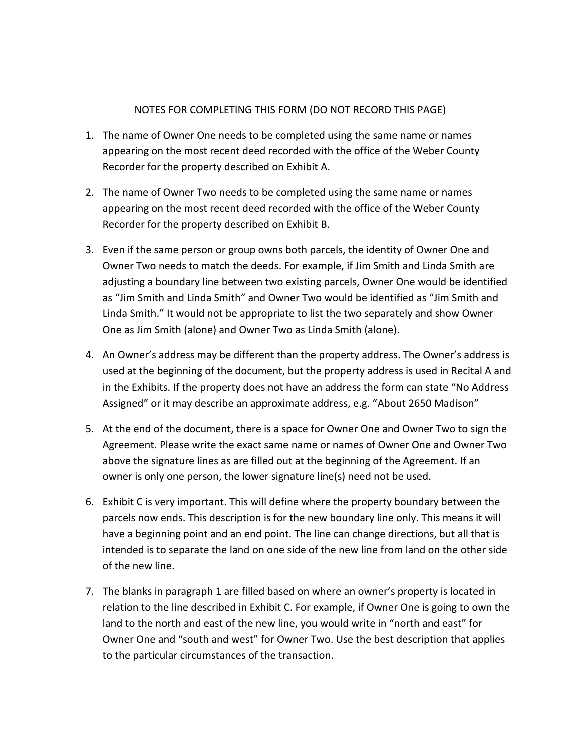#### NOTES FOR COMPLETING THIS FORM (DO NOT RECORD THIS PAGE)

- 1. The name of Owner One needs to be completed using the same name or names appearing on the most recent deed recorded with the office of the Weber County Recorder for the property described on Exhibit A.
- 2. The name of Owner Two needs to be completed using the same name or names appearing on the most recent deed recorded with the office of the Weber County Recorder for the property described on Exhibit B.
- 3. Even if the same person or group owns both parcels, the identity of Owner One and Owner Two needs to match the deeds. For example, if Jim Smith and Linda Smith are adjusting a boundary line between two existing parcels, Owner One would be identified as "Jim Smith and Linda Smith" and Owner Two would be identified as "Jim Smith and Linda Smith." It would not be appropriate to list the two separately and show Owner One as Jim Smith (alone) and Owner Two as Linda Smith (alone).
- 4. An Owner's address may be different than the property address. The Owner's address is used at the beginning of the document, but the property address is used in Recital A and in the Exhibits. If the property does not have an address the form can state "No Address Assigned" or it may describe an approximate address, e.g. "About 2650 Madison"
- 5. At the end of the document, there is a space for Owner One and Owner Two to sign the Agreement. Please write the exact same name or names of Owner One and Owner Two above the signature lines as are filled out at the beginning of the Agreement. If an owner is only one person, the lower signature line(s) need not be used.
- 6. Exhibit C is very important. This will define where the property boundary between the parcels now ends. This description is for the new boundary line only. This means it will have a beginning point and an end point. The line can change directions, but all that is intended is to separate the land on one side of the new line from land on the other side of the new line.
- 7. The blanks in paragraph 1 are filled based on where an owner's property is located in relation to the line described in Exhibit C. For example, if Owner One is going to own the land to the north and east of the new line, you would write in "north and east" for Owner One and "south and west" for Owner Two. Use the best description that applies to the particular circumstances of the transaction.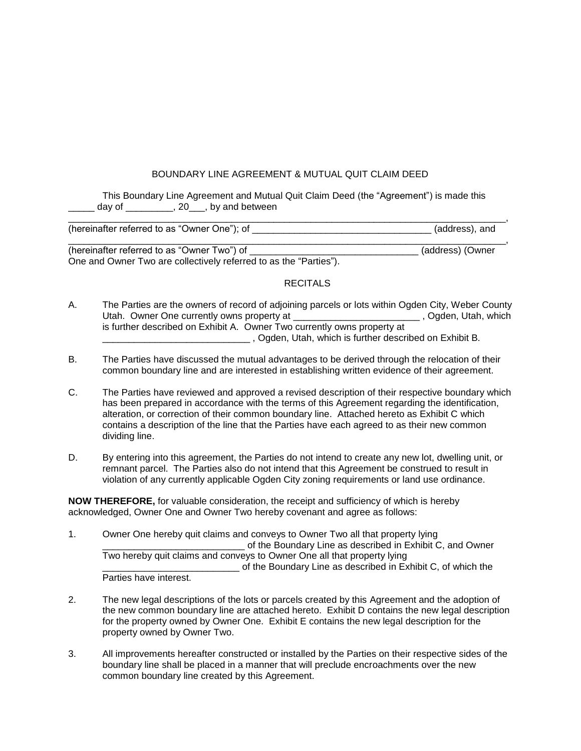#### BOUNDARY LINE AGREEMENT & MUTUAL QUIT CLAIM DEED

This Boundary Line Agreement and Mutual Quit Claim Deed (the "Agreement") is made this day of  $\frac{1}{20}$ , 20, by and between

| (hereinafter referred to as "Owner | \n∆″ |
|------------------------------------|------|
|                                    |      |

(hereinafter referred to as "Owner Two") of \_\_\_\_\_\_\_\_\_\_\_\_\_\_\_\_\_\_\_\_\_\_\_\_\_\_\_\_\_\_\_\_ (address) (Owner One and Owner Two are collectively referred to as the "Parties").

#### RECITALS

- A. The Parties are the owners of record of adjoining parcels or lots within Ogden City, Weber County Utah. Owner One currently owns property at \_\_\_\_\_\_\_\_\_\_\_\_\_\_\_\_\_\_\_\_\_\_\_\_\_\_\_\_, Ogden, Utah, which is further described on Exhibit A. Owner Two currently owns property at \_\_\_\_\_\_\_\_\_\_\_\_\_\_\_\_\_\_\_\_\_\_\_\_\_\_\_\_ , Ogden, Utah, which is further described on Exhibit B.
- B. The Parties have discussed the mutual advantages to be derived through the relocation of their common boundary line and are interested in establishing written evidence of their agreement.
- C. The Parties have reviewed and approved a revised description of their respective boundary which has been prepared in accordance with the terms of this Agreement regarding the identification, alteration, or correction of their common boundary line. Attached hereto as Exhibit C which contains a description of the line that the Parties have each agreed to as their new common dividing line.
- D. By entering into this agreement, the Parties do not intend to create any new lot, dwelling unit, or remnant parcel. The Parties also do not intend that this Agreement be construed to result in violation of any currently applicable Ogden City zoning requirements or land use ordinance.

**NOW THEREFORE,** for valuable consideration, the receipt and sufficiency of which is hereby acknowledged, Owner One and Owner Two hereby covenant and agree as follows:

- 1. Owner One hereby quit claims and conveys to Owner Two all that property lying of the Boundary Line as described in Exhibit C, and Owner Two hereby quit claims and conveys to Owner One all that property lying \_\_\_\_\_\_\_\_\_\_\_\_\_\_\_\_\_\_\_\_\_\_\_\_\_\_ of the Boundary Line as described in Exhibit C, of which the Parties have interest.
- 2. The new legal descriptions of the lots or parcels created by this Agreement and the adoption of the new common boundary line are attached hereto. Exhibit D contains the new legal description for the property owned by Owner One. Exhibit E contains the new legal description for the property owned by Owner Two.
- 3. All improvements hereafter constructed or installed by the Parties on their respective sides of the boundary line shall be placed in a manner that will preclude encroachments over the new common boundary line created by this Agreement.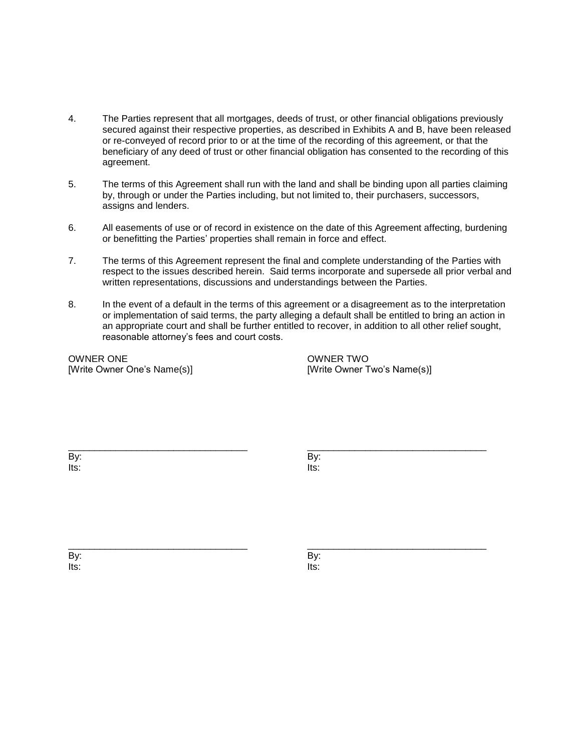- 4. The Parties represent that all mortgages, deeds of trust, or other financial obligations previously secured against their respective properties, as described in Exhibits A and B, have been released or re-conveyed of record prior to or at the time of the recording of this agreement, or that the beneficiary of any deed of trust or other financial obligation has consented to the recording of this agreement.
- 5. The terms of this Agreement shall run with the land and shall be binding upon all parties claiming by, through or under the Parties including, but not limited to, their purchasers, successors, assigns and lenders.
- 6. All easements of use or of record in existence on the date of this Agreement affecting, burdening or benefitting the Parties' properties shall remain in force and effect.
- 7. The terms of this Agreement represent the final and complete understanding of the Parties with respect to the issues described herein. Said terms incorporate and supersede all prior verbal and written representations, discussions and understandings between the Parties.
- 8. In the event of a default in the terms of this agreement or a disagreement as to the interpretation or implementation of said terms, the party alleging a default shall be entitled to bring an action in an appropriate court and shall be further entitled to recover, in addition to all other relief sought, reasonable attorney's fees and court costs.

\_\_\_\_\_\_\_\_\_\_\_\_\_\_\_\_\_\_\_\_\_\_\_\_\_\_\_\_\_\_\_\_\_\_ \_\_\_\_\_\_\_\_\_\_\_\_\_\_\_\_\_\_\_\_\_\_\_\_\_\_\_\_\_\_\_\_\_\_

OWNER ONE OWNER TWO [Write Owner One's Name(s)]  $[Write Owner Two's Name(s)]$ 

By: By: Its: Its:

\_\_\_\_\_\_\_\_\_\_\_\_\_\_\_\_\_\_\_\_\_\_\_\_\_\_\_\_\_\_\_\_\_\_ \_\_\_\_\_\_\_\_\_\_\_\_\_\_\_\_\_\_\_\_\_\_\_\_\_\_\_\_\_\_\_\_\_\_ By: By: Its: Its: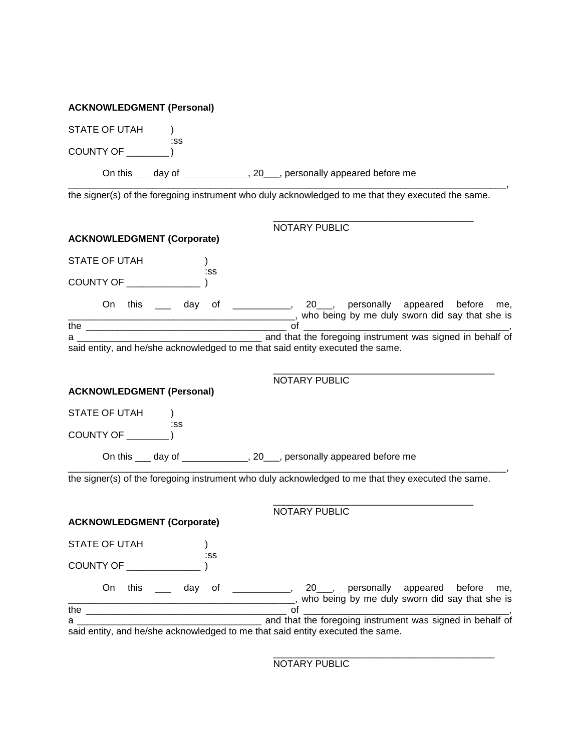| STATE OF UTAH                     |               |                                                                                                                                        |     |
|-----------------------------------|---------------|----------------------------------------------------------------------------------------------------------------------------------------|-----|
| COUNTY OF <b>Example 20</b>       | :SS           |                                                                                                                                        |     |
|                                   |               | On this ___ day of ______________, 20___, personally appeared before me                                                                |     |
|                                   |               | the signer(s) of the foregoing instrument who duly acknowledged to me that they executed the same.                                     |     |
|                                   |               | NOTARY PUBLIC                                                                                                                          |     |
| <b>ACKNOWLEDGMENT (Corporate)</b> |               |                                                                                                                                        |     |
| STATE OF UTAH                     | $\mathcal{L}$ |                                                                                                                                        |     |
|                                   | :SS           |                                                                                                                                        |     |
|                                   |               | On this <u>equal</u> day of <u>entitinently</u> , 20 here personally appeared before<br>who being by me duly sworn did say that she is | me, |
|                                   |               |                                                                                                                                        |     |
|                                   |               | said entity, and he/she acknowledged to me that said entity executed the same.                                                         |     |
|                                   |               |                                                                                                                                        |     |
|                                   |               | <b>NOTARY PUBLIC</b>                                                                                                                   |     |
| <b>ACKNOWLEDGMENT (Personal)</b>  |               |                                                                                                                                        |     |
| STATE OF UTAH                     |               |                                                                                                                                        |     |
| COUNTY OF ___                     | :SS           |                                                                                                                                        |     |
|                                   |               | On this ___ day of _____________, 20___, personally appeared before me                                                                 |     |
|                                   |               | the signer(s) of the foregoing instrument who duly acknowledged to me that they executed the same.                                     |     |
|                                   |               | <b>NOTARY PUBLIC</b>                                                                                                                   |     |
| <b>ACKNOWLEDGMENT (Corporate)</b> |               |                                                                                                                                        |     |
| STATE OF UTAH                     |               |                                                                                                                                        |     |
| COUNTY OF ______________          | :SS           |                                                                                                                                        |     |
|                                   |               | On this ____ day of ___________, 20___, personally appeared before                                                                     | me, |
|                                   |               | LACCED by me duly sworn did say that she is                                                                                            |     |
| a a                               |               | and that the foregoing instrument was signed in behalf of                                                                              |     |
|                                   |               | said entity, and he/she acknowledged to me that said entity executed the same.                                                         |     |

NOTARY PUBLIC

\_\_\_\_\_\_\_\_\_\_\_\_\_\_\_\_\_\_\_\_\_\_\_\_\_\_\_\_\_\_\_\_\_\_\_\_\_\_\_\_\_\_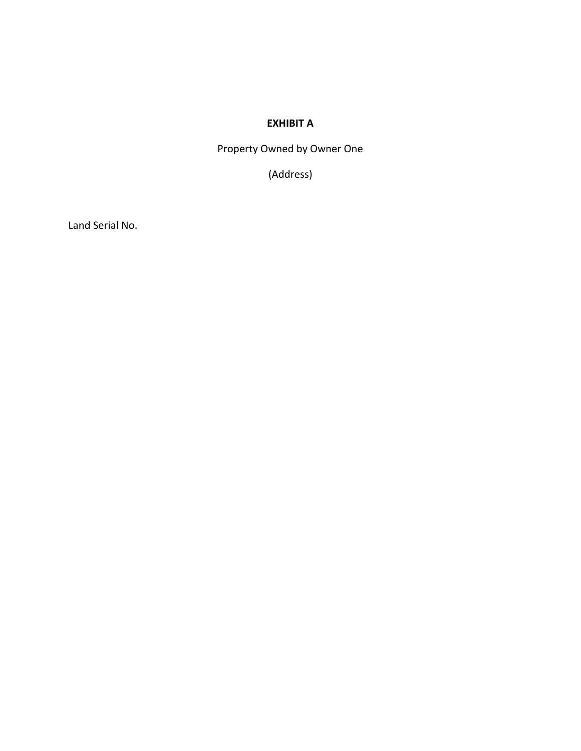## **EXHIBIT A**

Property Owned by Owner One

(Address)

Land Serial No.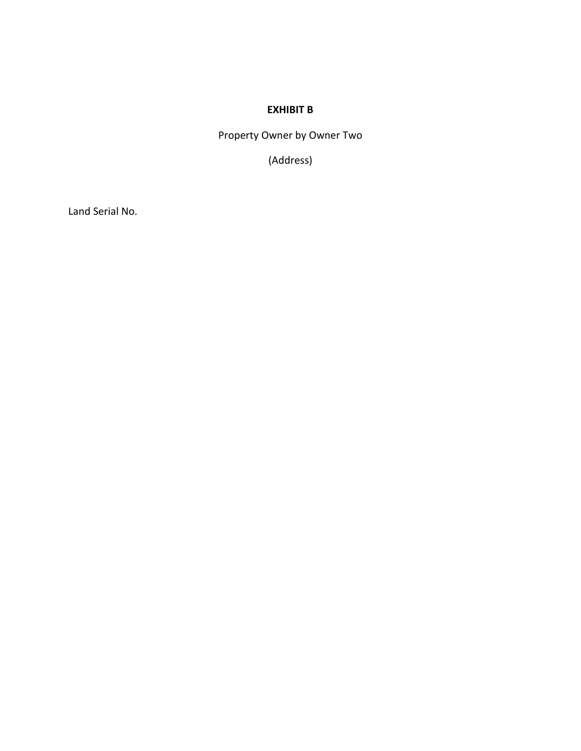#### **EXHIBIT B**

Property Owner by Owner Two

(Address)

Land Serial No.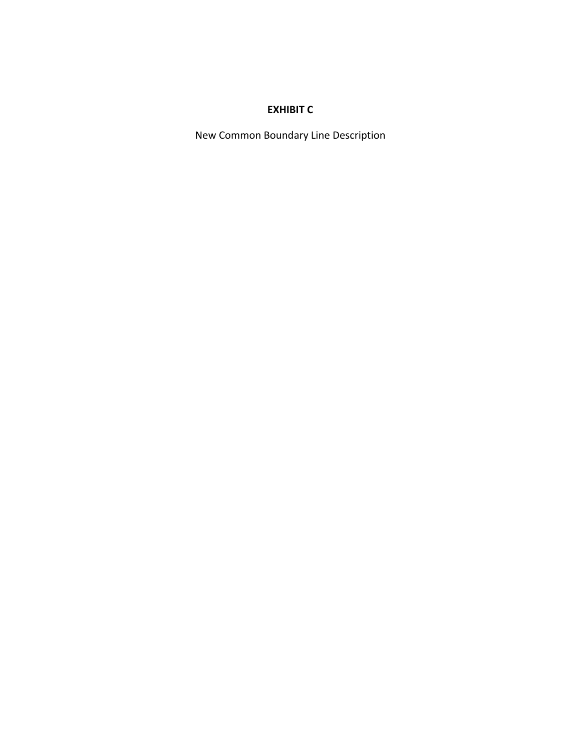## **EXHIBIT C**

New Common Boundary Line Description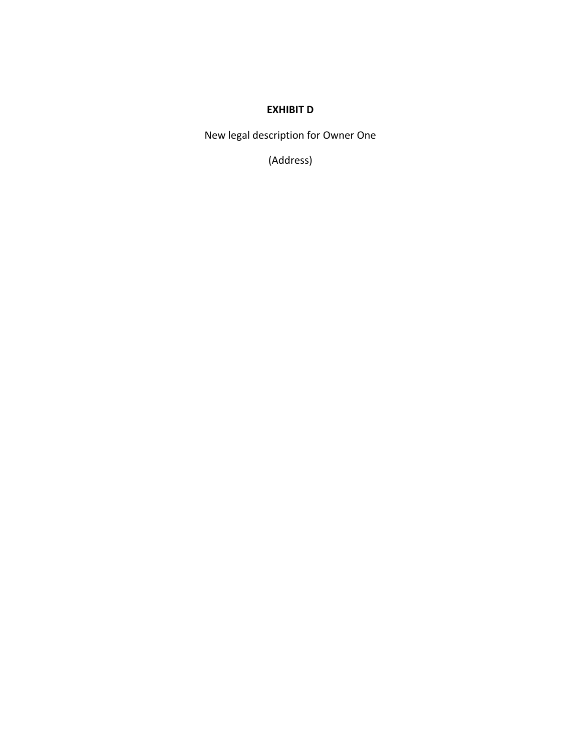#### **EXHIBIT D**

New legal description for Owner One

(Address)